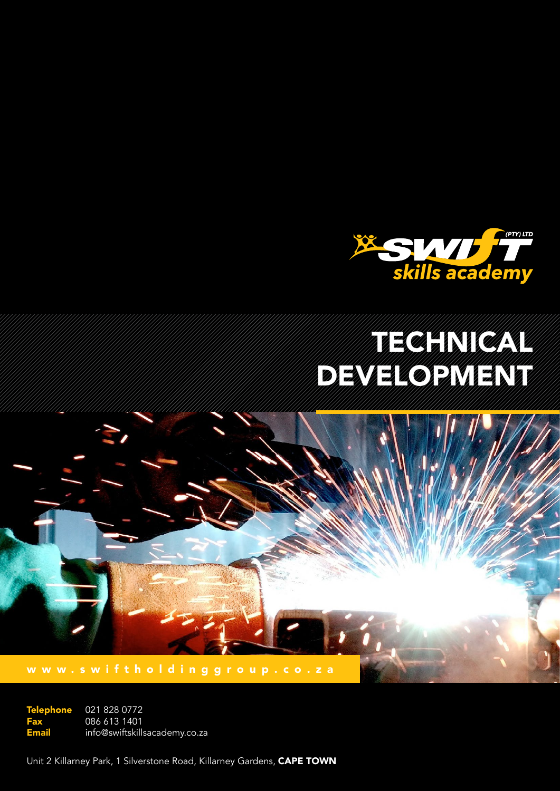

# Technical CA DEVELOPMENT

www.swiftholdinggroup.co.za

021 828 0772 086 613 1401 info@swiftskillsacademy.co.za **Telephone** Fax Email

Unit 2 Killarney Park, 1 Silverstone Road, Killarney Gardens, CAPE TOWN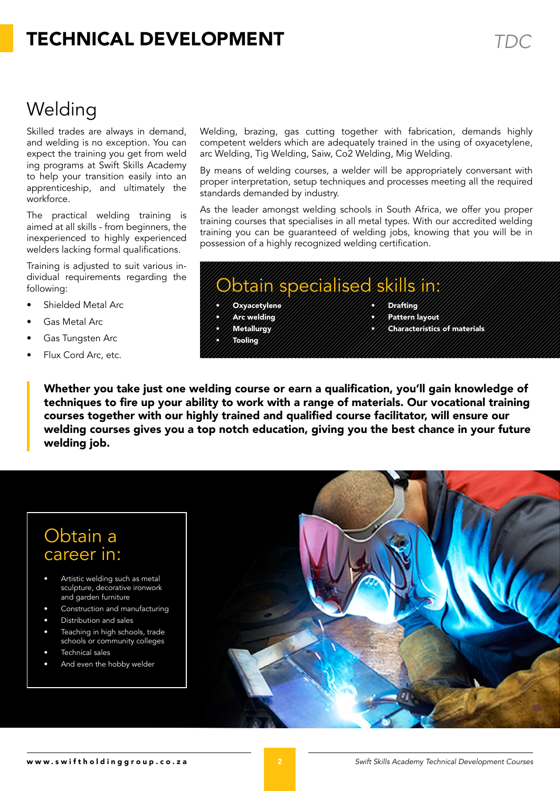# TECHNICAL Development *TDC*

# Welding

Skilled trades are always in demand, and welding is no exception. You can expect the training you get from weld ing programs at Swift Skills Academy to help your transition easily into an apprenticeship, and ultimately the workforce.

The practical welding training is aimed at all skills - from beginners, the inexperienced to highly experienced welders lacking formal qualifications.

Training is adjusted to suit various individual requirements regarding the following:

- Shielded Metal Arc
- Gas Metal Arc
- Gas Tungsten Arc
- Flux Cord Arc, etc.

Welding, brazing, gas cutting together with fabrication, demands highly competent welders which are adequately trained in the using of oxyacetylene, arc Welding, Tig Welding, Saiw, Co2 Welding, Mig Welding.

By means of welding courses, a welder will be appropriately conversant with proper interpretation, setup techniques and processes meeting all the required standards demanded by industry.

As the leader amongst welding schools in South Africa, we offer you proper training courses that specialises in all metal types. With our accredited welding training you can be guaranteed of welding jobs, knowing that you will be in possession of a highly recognized welding certification.

### Obtain specialised skills in:

- Oxyacetylene
- • Arc welding
- • Metallurgy
- • Tooling
- **Drafting**
- Pattern layout
- **Characteristics of materials**

Whether you take just one welding course or earn a qualification, you'll gain knowledge of techniques to fire up your ability to work with a range of materials. Our vocational training courses together with our highly trained and qualified course facilitator, will ensure our welding courses gives you a top notch education, giving you the best chance in your future welding job.

### Obtain a career in:

- Artistic welding such as metal sculpture, decorative ironwork and garden furniture
- Construction and manufacturing
- Distribution and sales
- Teaching in high schools, trade schools or community colleges
- Technical sales
- And even the hobby welder

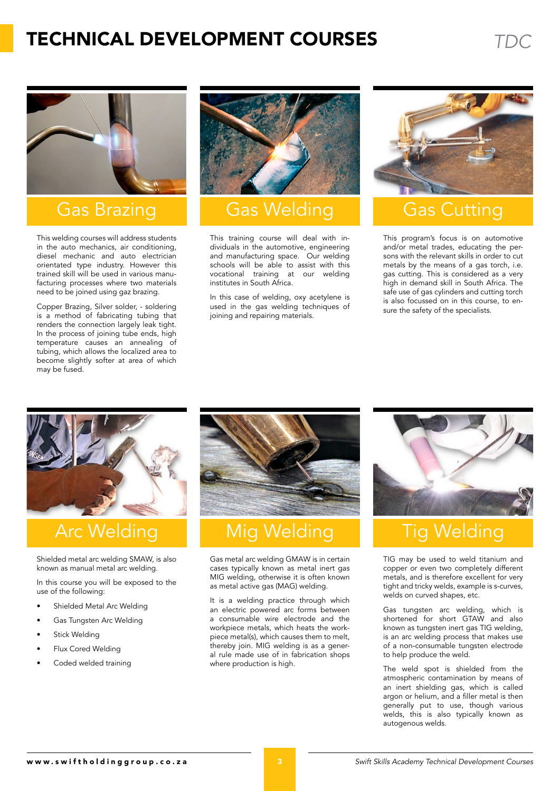# TECHNICAL Development CourseS *TDC*



### Gas Brazing

This welding courses will address students in the auto mechanics, air conditioning, diesel mechanic and auto electrician orientated type industry. However this trained skill will be used in various manufacturing processes where two materials need to be joined using gaz brazing.

Copper Brazing, Silver solder, - soldering is a method of fabricating tubing that renders the connection largely leak tight. In the process of joining tube ends, high temperature causes an annealing of tubing, which allows the localized area to become slightly softer at area of which may be fused.



### Gas Welding **Gas Cutting**

This training course will deal with individuals in the automotive, engineering and manufacturing space. Our welding schools will be able to assist with this vocational training at our welding institutes in South Africa.

In this case of welding, oxy acetylene is used in the gas welding techniques of joining and repairing materials.



This program's focus is on automotive and/or metal trades, educating the persons with the relevant skills in order to cut metals by the means of a gas torch, i.e. gas cutting. This is considered as a very high in demand skill in South Africa. The safe use of gas cylinders and cutting torch is also focussed on in this course, to ensure the safety of the specialists.



Shielded metal arc welding SMAW, is also known as manual metal arc welding.

In this course you will be exposed to the use of the following:

- Shielded Metal Arc Welding
- Gas Tungsten Arc Welding
- **Stick Welding**
- Flux Cored Welding
- Coded welded training



## Arc Welding Nig Welding Tig Welding

Gas metal arc welding GMAW is in certain cases typically known as metal inert gas MIG welding, otherwise it is often known as metal active gas (MAG) welding.

It is a welding practice through which an electric powered arc forms between a consumable wire electrode and the workpiece metals, which heats the workpiece metal(s), which causes them to melt, thereby join. MIG welding is as a general rule made use of in fabrication shops where production is high.



TIG may be used to weld titanium and copper or even two completely different metals, and is therefore excellent for very tight and tricky welds, example is s-curves, welds on curved shapes, etc.

Gas tungsten arc welding, which is shortened for short GTAW and also known as tungsten inert gas TIG welding, is an arc welding process that makes use of a non-consumable tungsten electrode to help produce the weld.

The weld spot is shielded from the atmospheric contamination by means of an inert shielding gas, which is called argon or helium, and a filler metal is then generally put to use, though various welds, this is also typically known as autogenous welds.